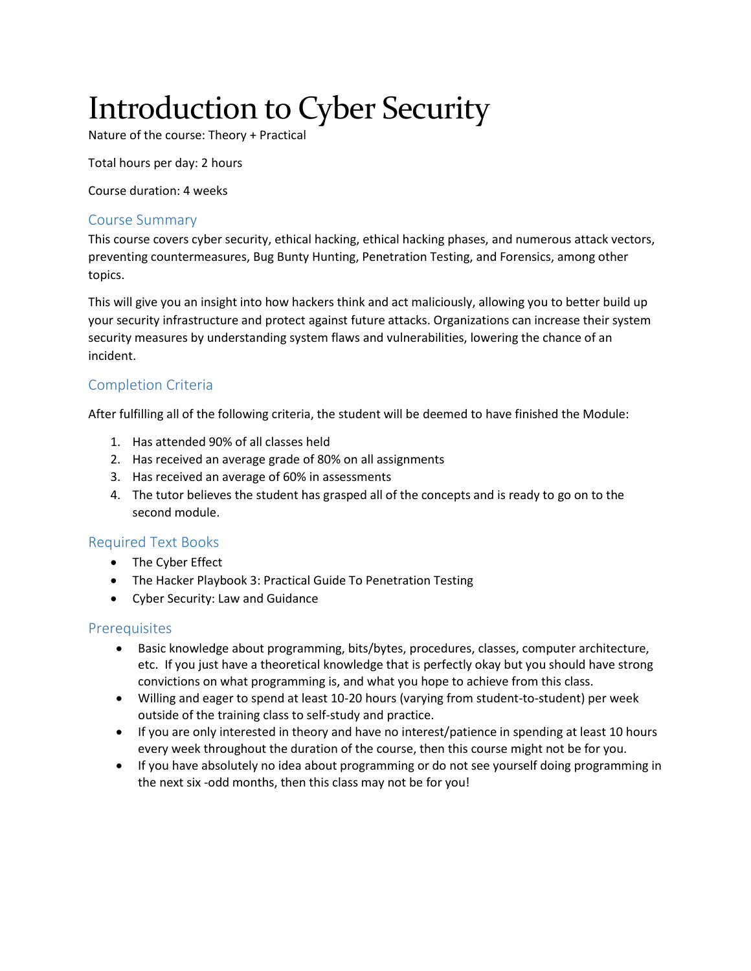# Introduction to Cyber Security

Nature of the course: Theory + Practical

Total hours per day: 2 hours

Course duration: 4 weeks

# Course Summary

This course covers cyber security, ethical hacking, ethical hacking phases, and numerous attack vectors, preventing countermeasures, Bug Bunty Hunting, Penetration Testing, and Forensics, among other topics.

This will give you an insight into how hackers think and act maliciously, allowing you to better build up your security infrastructure and protect against future attacks. Organizations can increase their system security measures by understanding system flaws and vulnerabilities, lowering the chance of an incident.

# Completion Criteria

After fulfilling all of the following criteria, the student will be deemed to have finished the Module:

- 1. Has attended 90% of all classes held
- 2. Has received an average grade of 80% on all assignments
- 3. Has received an average of 60% in assessments
- 4. The tutor believes the student has grasped all of the concepts and is ready to go on to the second module.

# Required Text Books

- The Cyber Effect
- The Hacker Playbook 3: Practical Guide To Penetration Testing
- Cyber Security: Law and Guidance

# **Prerequisites**

- Basic knowledge about programming, bits/bytes, procedures, classes, computer architecture, etc. If you just have a theoretical knowledge that is perfectly okay but you should have strong convictions on what programming is, and what you hope to achieve from this class.
- Willing and eager to spend at least 10-20 hours (varying from student-to-student) per week outside of the training class to self-study and practice.
- If you are only interested in theory and have no interest/patience in spending at least 10 hours every week throughout the duration of the course, then this course might not be for you.
- If you have absolutely no idea about programming or do not see yourself doing programming in the next six -odd months, then this class may not be for you!